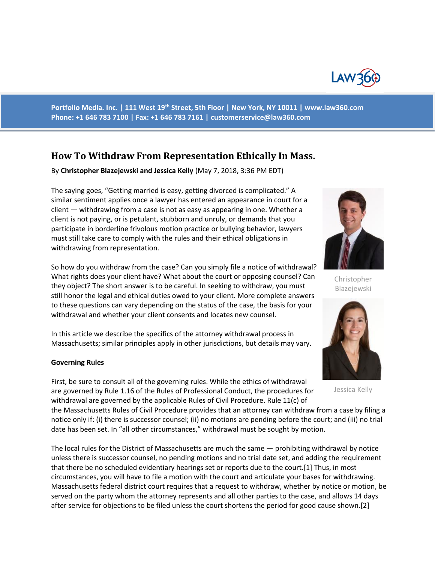

**Portfolio Media. Inc. | 111 West 19th Street, 5th Floor | New York, NY 10011 | www.law360.com Phone: +1 646 783 7100 | Fax: +1 646 783 7161 | [customerservice@law360.com](mailto:customerservice@law360.com)**

## **How To Withdraw From Representation Ethically In Mass.**

By **Christopher Blazejewski and Jessica Kelly** (May 7, 2018, 3:36 PM EDT)

The saying goes, "Getting married is easy, getting divorced is complicated." A similar sentiment applies once a lawyer has entered an appearance in court for a client — withdrawing from a case is not as easy as appearing in one. Whether a client is not paying, or is petulant, stubborn and unruly, or demands that you participate in borderline frivolous motion practice or bullying behavior, lawyers must still take care to comply with the rules and their ethical obligations in withdrawing from representation.

So how do you withdraw from the case? Can you simply file a notice of withdrawal? What rights does your client have? What about the court or opposing counsel? Can they object? The short answer is to be careful. In seeking to withdraw, you must still honor the legal and ethical duties owed to your client. More complete answers to these questions can vary depending on the status of the case, the basis for your withdrawal and whether your client consents and locates new counsel.

In this article we describe the specifics of the attorney withdrawal process in Massachusetts; similar principles apply in other jurisdictions, but details may vary.

## **Governing Rules**



Christopher Blazejewski



Jessica Kelly

First, be sure to consult all of the governing rules. While the ethics of withdrawal are governed by Rule 1.16 of the Rules of Professional Conduct, the procedures for withdrawal are governed by the applicable Rules of Civil Procedure. Rule 11(c) of the Massachusetts Rules of Civil Procedure provides that an attorney can withdraw from a case by filing a

notice only if: (i) there is successor counsel; (ii) no motions are pending before the court; and (iii) no trial date has been set. In "all other circumstances," withdrawal must be sought by motion.

The local rules for the District of Massachusetts are much the same — prohibiting withdrawal by notice unless there is successor counsel, no pending motions and no trial date set, and adding the requirement that there be no scheduled evidentiary hearings set or reports due to the court.[1] Thus, in most circumstances, you will have to file a motion with the court and articulate your bases for withdrawing. Massachusetts federal district court requires that a request to withdraw, whether by notice or motion, be served on the party whom the attorney represents and all other parties to the case, and allows 14 days after service for objections to be filed unless the court shortens the period for good cause shown.[2]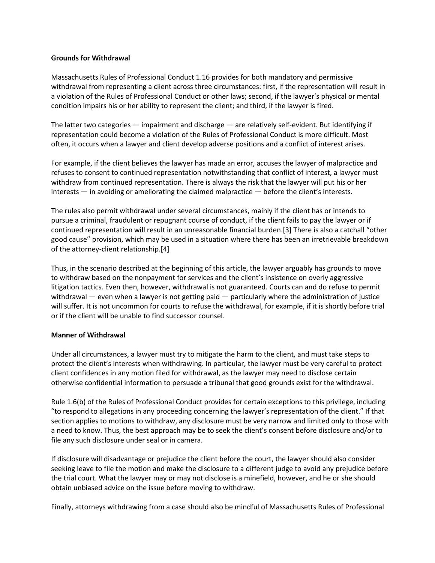## **Grounds for Withdrawal**

Massachusetts Rules of Professional Conduct 1.16 provides for both mandatory and permissive withdrawal from representing a client across three circumstances: first, if the representation will result in a violation of the Rules of Professional Conduct or other laws; second, if the lawyer's physical or mental condition impairs his or her ability to represent the client; and third, if the lawyer is fired.

The latter two categories — impairment and discharge — are relatively self-evident. But identifying if representation could become a violation of the Rules of Professional Conduct is more difficult. Most often, it occurs when a lawyer and client develop adverse positions and a conflict of interest arises.

For example, if the client believes the lawyer has made an error, accuses the lawyer of malpractice and refuses to consent to continued representation notwithstanding that conflict of interest, a lawyer must withdraw from continued representation. There is always the risk that the lawyer will put his or her interests — in avoiding or ameliorating the claimed malpractice — before the client's interests.

The rules also permit withdrawal under several circumstances, mainly if the client has or intends to pursue a criminal, fraudulent or repugnant course of conduct, if the client fails to pay the lawyer or if continued representation will result in an unreasonable financial burden.[3] There is also a catchall "other good cause" provision, which may be used in a situation where there has been an irretrievable breakdown of the attorney-client relationship.[4]

Thus, in the scenario described at the beginning of this article, the lawyer arguably has grounds to move to withdraw based on the nonpayment for services and the client's insistence on overly aggressive litigation tactics. Even then, however, withdrawal is not guaranteed. Courts can and do refuse to permit withdrawal — even when a lawyer is not getting paid — particularly where the administration of justice will suffer. It is not uncommon for courts to refuse the withdrawal, for example, if it is shortly before trial or if the client will be unable to find successor counsel.

## **Manner of Withdrawal**

Under all circumstances, a lawyer must try to mitigate the harm to the client, and must take steps to protect the client's interests when withdrawing. In particular, the lawyer must be very careful to protect client confidences in any motion filed for withdrawal, as the lawyer may need to disclose certain otherwise confidential information to persuade a tribunal that good grounds exist for the withdrawal.

Rule 1.6(b) of the Rules of Professional Conduct provides for certain exceptions to this privilege, including "to respond to allegations in any proceeding concerning the lawyer's representation of the client." If that section applies to motions to withdraw, any disclosure must be very narrow and limited only to those with a need to know. Thus, the best approach may be to seek the client's consent before disclosure and/or to file any such disclosure under seal or in camera.

If disclosure will disadvantage or prejudice the client before the court, the lawyer should also consider seeking leave to file the motion and make the disclosure to a different judge to avoid any prejudice before the trial court. What the lawyer may or may not disclose is a minefield, however, and he or she should obtain unbiased advice on the issue before moving to withdraw.

Finally, attorneys withdrawing from a case should also be mindful of Massachusetts Rules of Professional